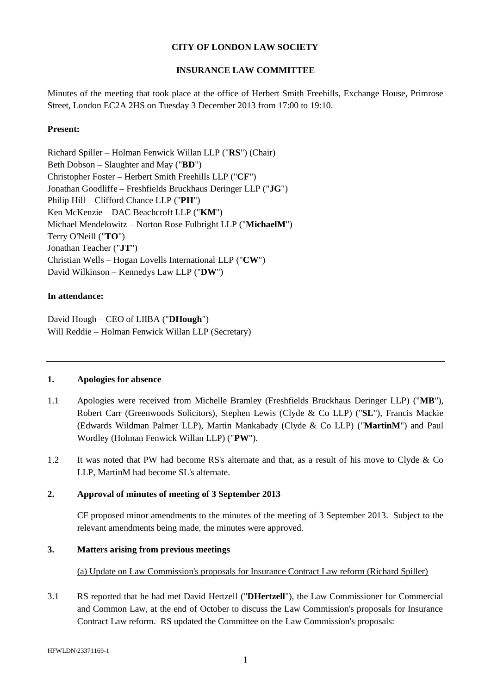# **CITY OF LONDON LAW SOCIETY**

# **INSURANCE LAW COMMITTEE**

Minutes of the meeting that took place at the office of Herbert Smith Freehills, Exchange House, Primrose Street, London EC2A 2HS on Tuesday 3 December 2013 from 17:00 to 19:10.

## **Present:**

Richard Spiller – Holman Fenwick Willan LLP ("**RS**") (Chair) Beth Dobson – Slaughter and May ("**BD**") Christopher Foster – Herbert Smith Freehills LLP ("**CF**") Jonathan Goodliffe – Freshfields Bruckhaus Deringer LLP ("**JG**") Philip Hill – Clifford Chance LLP ("**PH**") Ken McKenzie – DAC Beachcroft LLP ("**KM**") Michael Mendelowitz – Norton Rose Fulbright LLP ("**MichaelM**") Terry O'Neill ("**TO**") Jonathan Teacher ("**JT**") Christian Wells – Hogan Lovells International LLP ("**CW**") David Wilkinson – Kennedys Law LLP ("**DW**")

# **In attendance:**

David Hough – CEO of LIIBA ("**DHough**") Will Reddie – Holman Fenwick Willan LLP (Secretary)

### **1. Apologies for absence**

- 1.1 Apologies were received from Michelle Bramley (Freshfields Bruckhaus Deringer LLP) ("**MB**"), Robert Carr (Greenwoods Solicitors), Stephen Lewis (Clyde & Co LLP) ("**SL**"), Francis Mackie (Edwards Wildman Palmer LLP), Martin Mankabady (Clyde & Co LLP) ("**MartinM**") and Paul Wordley (Holman Fenwick Willan LLP) ("**PW**").
- 1.2 It was noted that PW had become RS's alternate and that, as a result of his move to Clyde & Co LLP, MartinM had become SL's alternate.

## **2. Approval of minutes of meeting of 3 September 2013**

CF proposed minor amendments to the minutes of the meeting of 3 September 2013. Subject to the relevant amendments being made, the minutes were approved.

### **3. Matters arising from previous meetings**

(a) Update on Law Commission's proposals for Insurance Contract Law reform (Richard Spiller)

3.1 RS reported that he had met David Hertzell ("**DHertzell**"), the Law Commissioner for Commercial and Common Law, at the end of October to discuss the Law Commission's proposals for Insurance Contract Law reform. RS updated the Committee on the Law Commission's proposals: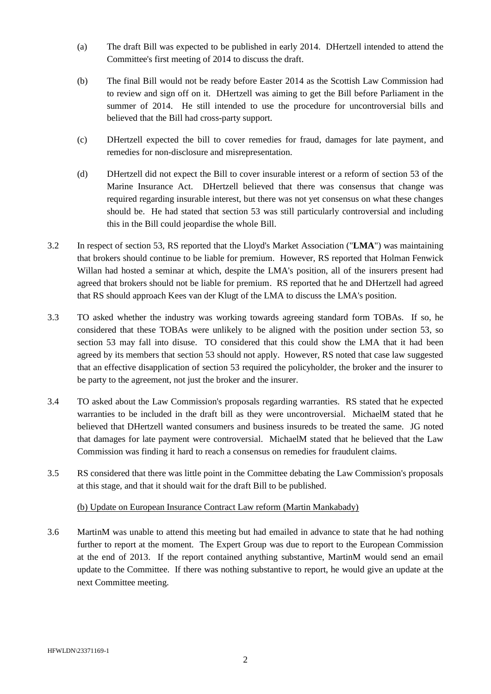- (a) The draft Bill was expected to be published in early 2014. DHertzell intended to attend the Committee's first meeting of 2014 to discuss the draft.
- (b) The final Bill would not be ready before Easter 2014 as the Scottish Law Commission had to review and sign off on it. DHertzell was aiming to get the Bill before Parliament in the summer of 2014. He still intended to use the procedure for uncontroversial bills and believed that the Bill had cross-party support.
- (c) DHertzell expected the bill to cover remedies for fraud, damages for late payment, and remedies for non-disclosure and misrepresentation.
- (d) DHertzell did not expect the Bill to cover insurable interest or a reform of section 53 of the Marine Insurance Act. DHertzell believed that there was consensus that change was required regarding insurable interest, but there was not yet consensus on what these changes should be. He had stated that section 53 was still particularly controversial and including this in the Bill could jeopardise the whole Bill.
- 3.2 In respect of section 53, RS reported that the Lloyd's Market Association ("**LMA**") was maintaining that brokers should continue to be liable for premium. However, RS reported that Holman Fenwick Willan had hosted a seminar at which, despite the LMA's position, all of the insurers present had agreed that brokers should not be liable for premium. RS reported that he and DHertzell had agreed that RS should approach Kees van der Klugt of the LMA to discuss the LMA's position.
- 3.3 TO asked whether the industry was working towards agreeing standard form TOBAs. If so, he considered that these TOBAs were unlikely to be aligned with the position under section 53, so section 53 may fall into disuse. TO considered that this could show the LMA that it had been agreed by its members that section 53 should not apply. However, RS noted that case law suggested that an effective disapplication of section 53 required the policyholder, the broker and the insurer to be party to the agreement, not just the broker and the insurer.
- 3.4 TO asked about the Law Commission's proposals regarding warranties. RS stated that he expected warranties to be included in the draft bill as they were uncontroversial. MichaelM stated that he believed that DHertzell wanted consumers and business insureds to be treated the same. JG noted that damages for late payment were controversial. MichaelM stated that he believed that the Law Commission was finding it hard to reach a consensus on remedies for fraudulent claims.
- 3.5 RS considered that there was little point in the Committee debating the Law Commission's proposals at this stage, and that it should wait for the draft Bill to be published.

# (b) Update on European Insurance Contract Law reform (Martin Mankabady)

3.6 MartinM was unable to attend this meeting but had emailed in advance to state that he had nothing further to report at the moment. The Expert Group was due to report to the European Commission at the end of 2013. If the report contained anything substantive, MartinM would send an email update to the Committee. If there was nothing substantive to report, he would give an update at the next Committee meeting.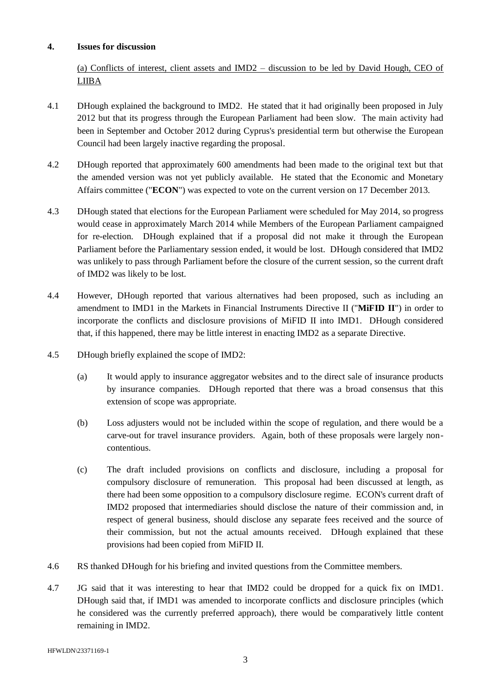## **4. Issues for discussion**

(a) Conflicts of interest, client assets and IMD2 – discussion to be led by David Hough, CEO of LIIBA

- 4.1 DHough explained the background to IMD2. He stated that it had originally been proposed in July 2012 but that its progress through the European Parliament had been slow. The main activity had been in September and October 2012 during Cyprus's presidential term but otherwise the European Council had been largely inactive regarding the proposal.
- 4.2 DHough reported that approximately 600 amendments had been made to the original text but that the amended version was not yet publicly available. He stated that the Economic and Monetary Affairs committee ("**ECON**") was expected to vote on the current version on 17 December 2013.
- 4.3 DHough stated that elections for the European Parliament were scheduled for May 2014, so progress would cease in approximately March 2014 while Members of the European Parliament campaigned for re-election. DHough explained that if a proposal did not make it through the European Parliament before the Parliamentary session ended, it would be lost. DHough considered that IMD2 was unlikely to pass through Parliament before the closure of the current session, so the current draft of IMD2 was likely to be lost.
- 4.4 However, DHough reported that various alternatives had been proposed, such as including an amendment to IMD1 in the Markets in Financial Instruments Directive II ("**MiFID II**") in order to incorporate the conflicts and disclosure provisions of MiFID II into IMD1. DHough considered that, if this happened, there may be little interest in enacting IMD2 as a separate Directive.
- 4.5 DHough briefly explained the scope of IMD2:
	- (a) It would apply to insurance aggregator websites and to the direct sale of insurance products by insurance companies. DHough reported that there was a broad consensus that this extension of scope was appropriate.
	- (b) Loss adjusters would not be included within the scope of regulation, and there would be a carve-out for travel insurance providers. Again, both of these proposals were largely noncontentious.
	- (c) The draft included provisions on conflicts and disclosure, including a proposal for compulsory disclosure of remuneration. This proposal had been discussed at length, as there had been some opposition to a compulsory disclosure regime. ECON's current draft of IMD2 proposed that intermediaries should disclose the nature of their commission and, in respect of general business, should disclose any separate fees received and the source of their commission, but not the actual amounts received. DHough explained that these provisions had been copied from MiFID II.
- 4.6 RS thanked DHough for his briefing and invited questions from the Committee members.
- 4.7 JG said that it was interesting to hear that IMD2 could be dropped for a quick fix on IMD1. DHough said that, if IMD1 was amended to incorporate conflicts and disclosure principles (which he considered was the currently preferred approach), there would be comparatively little content remaining in IMD2.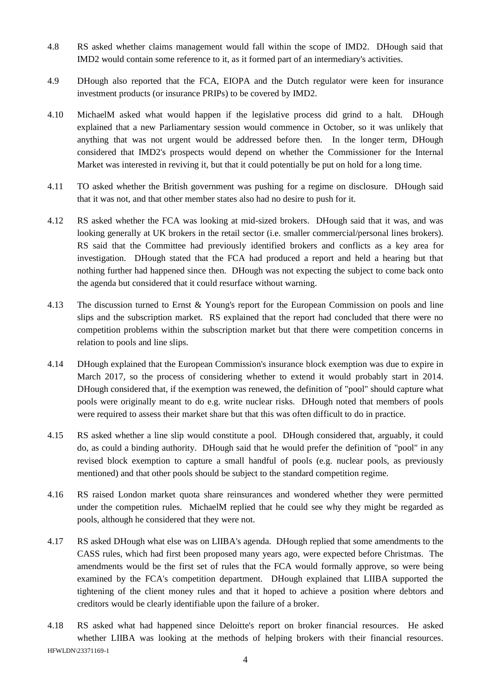- 4.8 RS asked whether claims management would fall within the scope of IMD2. DHough said that IMD2 would contain some reference to it, as it formed part of an intermediary's activities.
- 4.9 DHough also reported that the FCA, EIOPA and the Dutch regulator were keen for insurance investment products (or insurance PRIPs) to be covered by IMD2.
- 4.10 MichaelM asked what would happen if the legislative process did grind to a halt. DHough explained that a new Parliamentary session would commence in October, so it was unlikely that anything that was not urgent would be addressed before then. In the longer term, DHough considered that IMD2's prospects would depend on whether the Commissioner for the Internal Market was interested in reviving it, but that it could potentially be put on hold for a long time.
- 4.11 TO asked whether the British government was pushing for a regime on disclosure. DHough said that it was not, and that other member states also had no desire to push for it.
- 4.12 RS asked whether the FCA was looking at mid-sized brokers. DHough said that it was, and was looking generally at UK brokers in the retail sector (i.e. smaller commercial/personal lines brokers). RS said that the Committee had previously identified brokers and conflicts as a key area for investigation. DHough stated that the FCA had produced a report and held a hearing but that nothing further had happened since then. DHough was not expecting the subject to come back onto the agenda but considered that it could resurface without warning.
- 4.13 The discussion turned to Ernst & Young's report for the European Commission on pools and line slips and the subscription market. RS explained that the report had concluded that there were no competition problems within the subscription market but that there were competition concerns in relation to pools and line slips.
- 4.14 DHough explained that the European Commission's insurance block exemption was due to expire in March 2017, so the process of considering whether to extend it would probably start in 2014. DHough considered that, if the exemption was renewed, the definition of "pool" should capture what pools were originally meant to do e.g. write nuclear risks. DHough noted that members of pools were required to assess their market share but that this was often difficult to do in practice.
- 4.15 RS asked whether a line slip would constitute a pool. DHough considered that, arguably, it could do, as could a binding authority. DHough said that he would prefer the definition of "pool" in any revised block exemption to capture a small handful of pools (e.g. nuclear pools, as previously mentioned) and that other pools should be subject to the standard competition regime.
- 4.16 RS raised London market quota share reinsurances and wondered whether they were permitted under the competition rules. MichaelM replied that he could see why they might be regarded as pools, although he considered that they were not.
- 4.17 RS asked DHough what else was on LIIBA's agenda. DHough replied that some amendments to the CASS rules, which had first been proposed many years ago, were expected before Christmas. The amendments would be the first set of rules that the FCA would formally approve, so were being examined by the FCA's competition department. DHough explained that LIIBA supported the tightening of the client money rules and that it hoped to achieve a position where debtors and creditors would be clearly identifiable upon the failure of a broker.
- HFWLDN\23371169-1 4.18 RS asked what had happened since Deloitte's report on broker financial resources. He asked whether LIIBA was looking at the methods of helping brokers with their financial resources.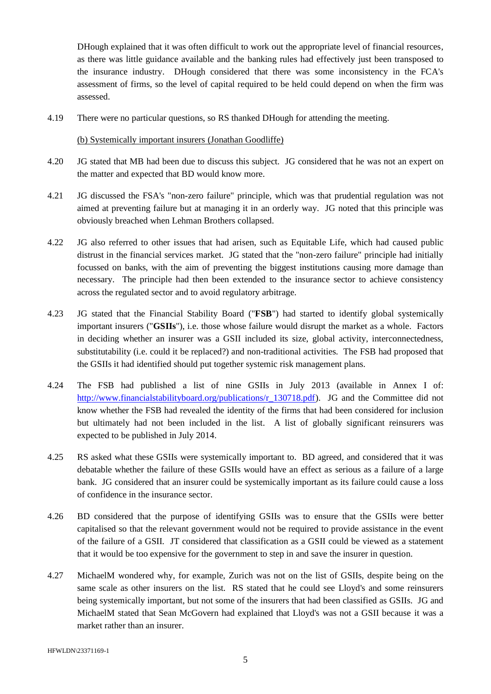DHough explained that it was often difficult to work out the appropriate level of financial resources, as there was little guidance available and the banking rules had effectively just been transposed to the insurance industry. DHough considered that there was some inconsistency in the FCA's assessment of firms, so the level of capital required to be held could depend on when the firm was assessed.

4.19 There were no particular questions, so RS thanked DHough for attending the meeting.

#### (b) Systemically important insurers (Jonathan Goodliffe)

- 4.20 JG stated that MB had been due to discuss this subject. JG considered that he was not an expert on the matter and expected that BD would know more.
- 4.21 JG discussed the FSA's "non-zero failure" principle, which was that prudential regulation was not aimed at preventing failure but at managing it in an orderly way. JG noted that this principle was obviously breached when Lehman Brothers collapsed.
- 4.22 JG also referred to other issues that had arisen, such as Equitable Life, which had caused public distrust in the financial services market. JG stated that the "non-zero failure" principle had initially focussed on banks, with the aim of preventing the biggest institutions causing more damage than necessary. The principle had then been extended to the insurance sector to achieve consistency across the regulated sector and to avoid regulatory arbitrage.
- 4.23 JG stated that the Financial Stability Board ("**FSB**") had started to identify global systemically important insurers ("**GSIIs**"), i.e. those whose failure would disrupt the market as a whole. Factors in deciding whether an insurer was a GSII included its size, global activity, interconnectedness, substitutability (i.e. could it be replaced?) and non-traditional activities. The FSB had proposed that the GSIIs it had identified should put together systemic risk management plans.
- 4.24 The FSB had published a list of nine GSIIs in July 2013 (available in Annex I of: [http://www.financialstabilityboard.org/publications/r\\_130718.pdf\)](http://www.financialstabilityboard.org/publications/r_130718.pdf). JG and the Committee did not know whether the FSB had revealed the identity of the firms that had been considered for inclusion but ultimately had not been included in the list. A list of globally significant reinsurers was expected to be published in July 2014.
- 4.25 RS asked what these GSIIs were systemically important to. BD agreed, and considered that it was debatable whether the failure of these GSIIs would have an effect as serious as a failure of a large bank. JG considered that an insurer could be systemically important as its failure could cause a loss of confidence in the insurance sector.
- 4.26 BD considered that the purpose of identifying GSIIs was to ensure that the GSIIs were better capitalised so that the relevant government would not be required to provide assistance in the event of the failure of a GSII. JT considered that classification as a GSII could be viewed as a statement that it would be too expensive for the government to step in and save the insurer in question.
- 4.27 MichaelM wondered why, for example, Zurich was not on the list of GSIIs, despite being on the same scale as other insurers on the list. RS stated that he could see Lloyd's and some reinsurers being systemically important, but not some of the insurers that had been classified as GSIIs. JG and MichaelM stated that Sean McGovern had explained that Lloyd's was not a GSII because it was a market rather than an insurer.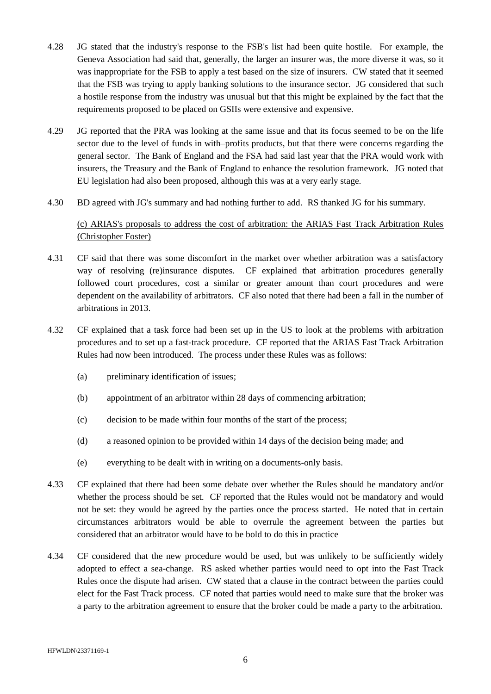- 4.28 JG stated that the industry's response to the FSB's list had been quite hostile. For example, the Geneva Association had said that, generally, the larger an insurer was, the more diverse it was, so it was inappropriate for the FSB to apply a test based on the size of insurers. CW stated that it seemed that the FSB was trying to apply banking solutions to the insurance sector. JG considered that such a hostile response from the industry was unusual but that this might be explained by the fact that the requirements proposed to be placed on GSIIs were extensive and expensive.
- 4.29 JG reported that the PRA was looking at the same issue and that its focus seemed to be on the life sector due to the level of funds in with–profits products, but that there were concerns regarding the general sector. The Bank of England and the FSA had said last year that the PRA would work with insurers, the Treasury and the Bank of England to enhance the resolution framework. JG noted that EU legislation had also been proposed, although this was at a very early stage.
- 4.30 BD agreed with JG's summary and had nothing further to add. RS thanked JG for his summary.

# (c) ARIAS's proposals to address the cost of arbitration: the ARIAS Fast Track Arbitration Rules (Christopher Foster)

- 4.31 CF said that there was some discomfort in the market over whether arbitration was a satisfactory way of resolving (re)insurance disputes. CF explained that arbitration procedures generally followed court procedures, cost a similar or greater amount than court procedures and were dependent on the availability of arbitrators. CF also noted that there had been a fall in the number of arbitrations in 2013.
- 4.32 CF explained that a task force had been set up in the US to look at the problems with arbitration procedures and to set up a fast-track procedure. CF reported that the ARIAS Fast Track Arbitration Rules had now been introduced. The process under these Rules was as follows:
	- (a) preliminary identification of issues;
	- (b) appointment of an arbitrator within 28 days of commencing arbitration;
	- (c) decision to be made within four months of the start of the process;
	- (d) a reasoned opinion to be provided within 14 days of the decision being made; and
	- (e) everything to be dealt with in writing on a documents-only basis.
- 4.33 CF explained that there had been some debate over whether the Rules should be mandatory and/or whether the process should be set. CF reported that the Rules would not be mandatory and would not be set: they would be agreed by the parties once the process started. He noted that in certain circumstances arbitrators would be able to overrule the agreement between the parties but considered that an arbitrator would have to be bold to do this in practice
- 4.34 CF considered that the new procedure would be used, but was unlikely to be sufficiently widely adopted to effect a sea-change. RS asked whether parties would need to opt into the Fast Track Rules once the dispute had arisen. CW stated that a clause in the contract between the parties could elect for the Fast Track process. CF noted that parties would need to make sure that the broker was a party to the arbitration agreement to ensure that the broker could be made a party to the arbitration.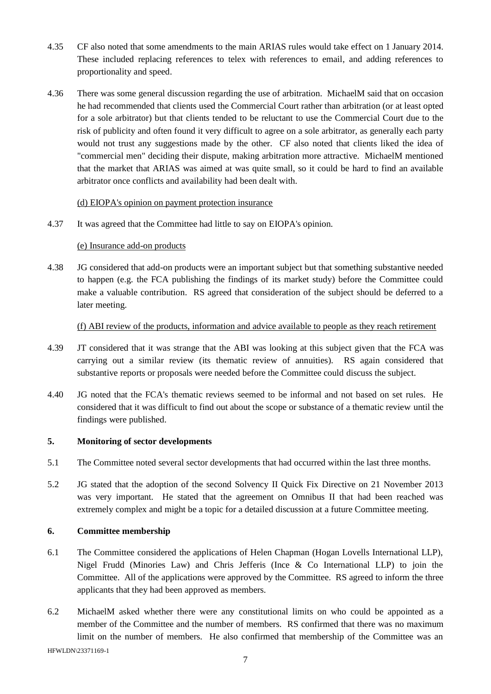- 4.35 CF also noted that some amendments to the main ARIAS rules would take effect on 1 January 2014. These included replacing references to telex with references to email, and adding references to proportionality and speed.
- 4.36 There was some general discussion regarding the use of arbitration. MichaelM said that on occasion he had recommended that clients used the Commercial Court rather than arbitration (or at least opted for a sole arbitrator) but that clients tended to be reluctant to use the Commercial Court due to the risk of publicity and often found it very difficult to agree on a sole arbitrator, as generally each party would not trust any suggestions made by the other. CF also noted that clients liked the idea of "commercial men" deciding their dispute, making arbitration more attractive. MichaelM mentioned that the market that ARIAS was aimed at was quite small, so it could be hard to find an available arbitrator once conflicts and availability had been dealt with.

## (d) EIOPA's opinion on payment protection insurance

4.37 It was agreed that the Committee had little to say on EIOPA's opinion.

### (e) Insurance add-on products

4.38 JG considered that add-on products were an important subject but that something substantive needed to happen (e.g. the FCA publishing the findings of its market study) before the Committee could make a valuable contribution. RS agreed that consideration of the subject should be deferred to a later meeting.

#### (f) ABI review of the products, information and advice available to people as they reach retirement

- 4.39 JT considered that it was strange that the ABI was looking at this subject given that the FCA was carrying out a similar review (its thematic review of annuities). RS again considered that substantive reports or proposals were needed before the Committee could discuss the subject.
- 4.40 JG noted that the FCA's thematic reviews seemed to be informal and not based on set rules. He considered that it was difficult to find out about the scope or substance of a thematic review until the findings were published.

## **5. Monitoring of sector developments**

- 5.1 The Committee noted several sector developments that had occurred within the last three months.
- 5.2 JG stated that the adoption of the second Solvency II Quick Fix Directive on 21 November 2013 was very important. He stated that the agreement on Omnibus II that had been reached was extremely complex and might be a topic for a detailed discussion at a future Committee meeting.

### **6. Committee membership**

- 6.1 The Committee considered the applications of Helen Chapman (Hogan Lovells International LLP), Nigel Frudd (Minories Law) and Chris Jefferis (Ince & Co International LLP) to join the Committee. All of the applications were approved by the Committee. RS agreed to inform the three applicants that they had been approved as members.
- 6.2 MichaelM asked whether there were any constitutional limits on who could be appointed as a member of the Committee and the number of members. RS confirmed that there was no maximum limit on the number of members. He also confirmed that membership of the Committee was an

HFWLDN\23371169-1